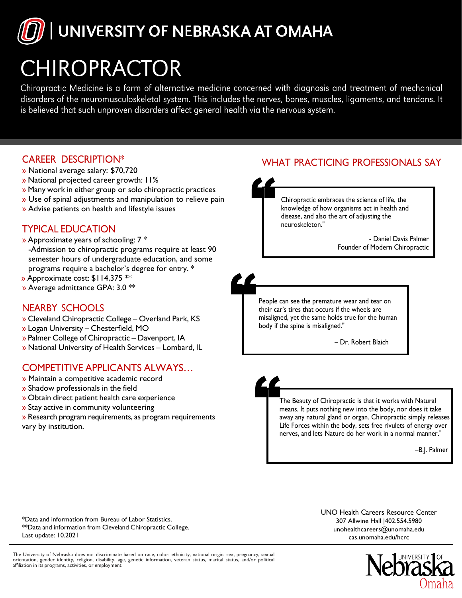

# **CHIROPRACTOR**

Chiropractic Medicine is a form of alternative medicine concerned with diagnosis and treatment of mechanical disorders of the neuromusculoskeletal system. This includes the nerves, bones, muscles, ligaments, and tendons. It is believed that such unproven disorders affect general health via the nervous system.

## CAREER DESCRIPTION\*

- » National average salary: \$70,720
- » National projected career growth: 11%
- » Many work in either group or solo chiropractic practices
- » Use of spinal adjustments and manipulation to relieve pain
- » Advise patients on health and lifestyle issues

## TYPICAL EDUCATION

- » Approximate years of schooling: 7 \* -Admission to chiropractic programs require at least 90 semester hours of undergraduate education, and some programs require a bachelor's degree for entry. \*
- » Approximate cost: \$114,375 \*\*
- » Average admittance GPA: 3.0 \*\*

# NEARBY SCHOOLS

- » Cleveland Chiropractic College Overland Park, KS
- » Logan University Chesterfield, MO
- » Palmer College of Chiropractic Davenport, IA
- » National University of Health Services Lombard, IL

## COMPETITIVE APPLICANTS ALWAYS…

- » Maintain a competitive academic record
- » Shadow professionals in the field
- » Obtain direct patient health care experience
- » Stay active in community volunteering
- » Research program requirements, as program requirements vary by institution.



People can see the premature wear and tear on their car's tires that occurs if the wheels are misaligned, yet the same holds true for the human body if the spine is misaligned."

– Dr. Robert Blaich

The Beauty of Chiropractic is that it works with Natural means. It puts nothing new into the body, nor does it take away any natural gland or organ. Chiropractic simply releases Life Forces within the body, sets free rivulets of energy over nerves, and lets Nature do her work in a normal manner."

–B.J. Palmer

\*Data and information from Bureau of Labor Statistics. \*\*Data and information from Cleveland Chiropractic College. Last update: 10.2021

UNO Health Careers Resource Center [307 Allwine Hall |402.554.59](mailto:unohealthcareers@unomaha.edu)80 unohealthcareers@unomaha.edu cas.unomaha.edu/hcrc



The University of Nebraska does not discriminate based on race, color, ethnicity, national origin, sex, pregnancy, sexual<br>orientation, gender identity, religion, disability, age, genetic information, veteran status, marita affiliation in its programs, activities, or employment.